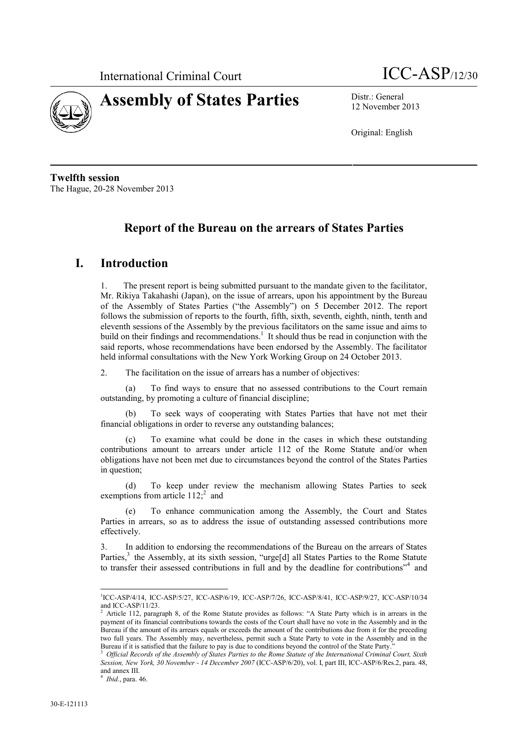



12 November 2013

Original: English

**Twelfth session** The Hague, 20-28 November 2013

# **Report of the Bureau on the arrears of States Parties**

### **I. Introduction**

1. The present report is being submitted pursuant to the mandate given to the facilitator, Mr. Rikiya Takahashi (Japan), on the issue of arrears, upon his appointment by the Bureau of the Assembly of States Parties ("the Assembly") on 5 December 2012. The report follows the submission of reports to the fourth, fifth, sixth, seventh, eighth, ninth, tenth and eleventh sessions of the Assembly by the previous facilitators on the same issue and aims to build on their findings and recommendations.<sup>1</sup> It should thus be read in conjunction with the said reports, whose recommendations have been endorsed by the Assembly. The facilitator held informal consultations with the New York Working Group on 24 October 2013.

2. The facilitation on the issue of arrears has a number of objectives:

(a) To find ways to ensure that no assessed contributions to the Court remain outstanding, by promoting a culture of financial discipline;

(b) To seek ways of cooperating with States Parties that have not met their financial obligations in order to reverse any outstanding balances;

(c) To examine what could be done in the cases in which these outstanding contributions amount to arrears under article 112 of the Rome Statute and/or when obligations have not been met due to circumstances beyond the control of the States Parties in question;

(d) To keep under review the mechanism allowing States Parties to seek exemptions from article  $112$ ; and

(e) To enhance communication among the Assembly, the Court and States Parties in arrears, so as to address the issue of outstanding assessed contributions more effectively.

3. In addition to endorsing the recommendations of the Bureau on the arrears of States Parties,<sup>3</sup> the Assembly, at its sixth session, "urge[d] all States Parties to the Rome Statute to transfer their assessed contributions in full and by the deadline for contributions"<sup>4</sup> and

<sup>&</sup>lt;sup>1</sup>ICC-ASP/4/14, ICC-ASP/5/27, ICC-ASP/6/19, ICC-ASP/7/26, ICC-ASP/8/41, ICC-ASP/9/27, ICC-ASP/10/34 and ICC-ASP/11/23.

<sup>&</sup>lt;sup>2</sup> Article 112, paragraph 8, of the Rome Statute provides as follows: "A State Party which is in arrears in the payment of its financial contributions towards the costs of the Court shall have no vote in the Assembly and in the Bureau if the amount of its arrears equals or exceeds the amount of the contributions due from it for the preceding two full years. The Assembly may, nevertheless, permit such a State Party to vote in the Assembly and in the Bureau if it is satisfied that the failure to pay is due to conditions beyond the control of the State Party."

<sup>3</sup> *Official Records of the Assembly of States Parties to the Rome Statute of the International Criminal Court, Sixth Session, New York, 30 November - 14 December 2007* (ICC-ASP/6/20), vol. I, part III, ICC-ASP/6/Res.2, para. 48, and annex III. <sup>4</sup> *Ibid*., para. 46.